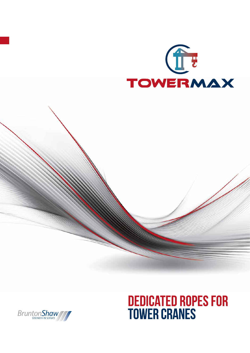



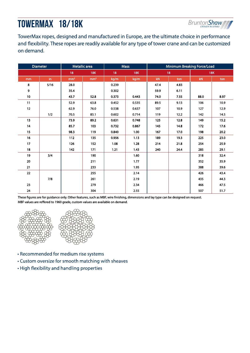# TOWERMAX 18/18K



TowerMax ropes, designed and manufactured in Europe, are the ultimate choice in performance and flexibility. These ropes are readily available for any type of tower crane and can be customized on demand.

| <b>Diameter</b> |       | Metallic area   |                 | <b>Mass</b> |                   | Minimum Breaking Force/Load |      |                        |      |
|-----------------|-------|-----------------|-----------------|-------------|-------------------|-----------------------------|------|------------------------|------|
|                 |       | 18              | <b>18K</b>      | 18          | <b>18K</b>        | 18                          |      | <b>18K</b>             |      |
| mm              | in.   | mm <sup>2</sup> | mm <sup>2</sup> | kg/m        | kg/m              | kN                          | ton  | $\mathsf{k}\mathsf{N}$ | ton  |
| 8               | 5/16  | 28.0            |                 | 0.239       |                   | 47.4                        | 4.83 |                        |      |
| 9               |       | 35.4            |                 | 0.302       |                   | 59.9                        | 6.11 |                        |      |
| 10 <sup>°</sup> |       | 43.7            | 52.8            | 0.373       | 0.443             | 74.0                        | 7.55 | 88.0                   | 8.97 |
| 11              |       | 52.9            | 63.8            | 0.452       | 0.535             | 89.5                        | 9.13 | 106                    | 10.9 |
| 12              |       | 62.9            | 76.0            | 0.538       | 0.637             | 107                         | 10.9 | 127                    | 12.9 |
|                 | 1/2   | 70.5            | 85.1            | 0.602       | 0.714             | 119                         | 12.2 | 142                    | 14.5 |
| 13              |       | 73.9            | 89.2            | 0.631       | 0.748             | 125                         | 12.8 | 149                    | 15.2 |
| 14              |       | 85.7            | 103             | 0.732       | 0.867             | 145                         | 14.8 | 172                    | 17.6 |
| 15              |       | 98.3            | 119             | 0.840       | 1.00 <sub>1</sub> | 167                         | 17.0 | 198                    | 20.2 |
| 16              |       | 112             | 135             | 0.956       | 1.13              | 189                         | 19.3 | 225                    | 23.0 |
| 17              |       | 126             | 152             | 1.08        | 1.28              | 214                         | 21.8 | 254                    | 25.9 |
| 18              |       | 142             | 171             | 1.21        | 1.43              | 240                         | 24.4 | 285                    | 29.1 |
| 19              | 3/4   |                 | 190             |             | 1.60              |                             |      | 318                    | 32.4 |
| 20              |       |                 | 211             |             | 1.77              |                             |      | 352                    | 35.9 |
| 21              |       |                 | 233             |             | 1.95              |                             |      | 388                    | 39.6 |
| 22              |       |                 | 255             |             | 2.14              |                             |      | 426                    | 43.4 |
|                 | $7/8$ |                 | 261             |             | 2.19              |                             |      | 435                    | 44.3 |
| 23              |       |                 | 279             |             | 2.34              |                             |      | 466                    | 47.5 |
| 24              |       |                 | 304             |             | 2.55              |                             |      | 507                    | 51.7 |

These figures are for guidance only. Other features, such as MBF, wire finishing, dimensions and lay type can be designed on request. MBF values are reffered to 1960 grade, custom values are available on demand.



- Recommended for medium rise systems
- Custom oversize for smooth matching with sheaves
- High flexibility and handling properties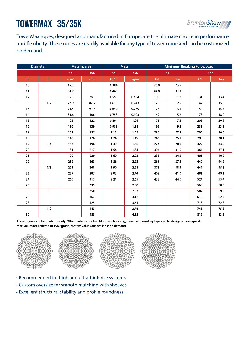## TOWERMAX 35/35K



TowerMax ropes, designed and manufactured in Europe, are the ultimate choice in performance and flexibility. These ropes are readily available for any type of tower crane and can be customized on demand.

| <b>Diameter</b> |                      | Metallic area   |                 | <b>Mass</b> |       | Minimum Breaking Force/Load |      |     |      |
|-----------------|----------------------|-----------------|-----------------|-------------|-------|-----------------------------|------|-----|------|
|                 |                      | 35              | 35K             | 35          | 35K   | 35                          |      | 35K |      |
| mm              | $\mathop{\text{in}}$ | mm <sup>2</sup> | mm <sup>2</sup> | kg/m        | kg/m  | $\mathsf{k}\mathsf{N}$      | ton  | kN  | ton  |
| $10\,$          |                      | 45.2            |                 | 0.384       |       | 76.0                        | 7.75 |     |      |
| 11              |                      | 54.7            |                 | 0.465       |       | 92.0                        | 9.38 |     |      |
| 12              |                      | 65.1            | 78.1            | 0.553       | 0.664 | 109                         | 11.2 | 131 | 13.4 |
|                 | 1/2                  | 72.9            | 87.5            | 0.619       | 0.743 | 123                         | 12.5 | 147 | 15.0 |
| 13              |                      | 76.4            | 91.7            | 0.649       | 0.779 | 128                         | 13.1 | 154 | 15.7 |
| 14              |                      | 88.6            | 106             | 0.753       | 0.903 | 149                         | 15.2 | 178 | 18.2 |
| 15              |                      | 102             | 122             | 0.864       | 1.04  | 171                         | 17.4 | 205 | 20.9 |
| 16              |                      | 116             | 139             | 0.983       | 1.18  | 195                         | 19.8 | 233 | 23.8 |
| 17              |                      | 131             | 157             | 1.11        | 1.33  | 220                         | 22.4 | 263 | 26.8 |
| 18              |                      | 146             | 176             | 1.24        | 1.49  | 246                         | 25.1 | 295 | 30.1 |
| 19              | 3/4                  | 163             | 196             | 1.39        | 1.66  | 274                         | 28.0 | 329 | 33.5 |
| 20              |                      | 181             | 217             | 1.54        | 1.84  | 304                         | 31.0 | 364 | 37.1 |
| 21              |                      | 199             | 239             | 1.69        | 2.03  | 335                         | 34.2 | 401 | 40.9 |
| 22              |                      | 219             | 263             | 1.86        | 2.23  | 368                         | 37.5 | 440 | 44.9 |
|                 | 7/8                  | 223             | 268             | 1.90        | 2.28  | 375                         | 38.3 | 449 | 45.8 |
| 23              |                      | 239             | 287             | 2.03        | 2.44  | 402                         | 41.0 | 481 | 49.1 |
| 24              |                      | 260             | 313             | 2.21        | 2.65  | 438                         | 44.6 | 524 | 53.4 |
| 25              |                      |                 | 339             |             | 2.88  |                             |      | 569 | 58.0 |
|                 | 1                    |                 | 350             |             | 2.97  |                             |      | 587 | 59.9 |
| 26              |                      |                 | 367             |             | 3.12  |                             |      | 615 | 62.7 |
| 28              |                      |                 | 425             |             | 3.61  |                             |      | 713 | 72.8 |
|                 | $1\%$                |                 | 443             |             | 3.76  |                             |      | 743 | 75.8 |
| $30\,$          |                      |                 | 488             |             | 4.15  |                             |      | 819 | 83.5 |

These figures are for guidance only. Other features, such as MBF, wire finishing, dimensions and lay type can be designed on request. MBF values are reffered to 1960 grade, custom values are available on demand.









- Recommended for high and ultra-high rise systems
- Custom oversize for smooth matching with sheaves
- Excellent structural stability and profile roundness